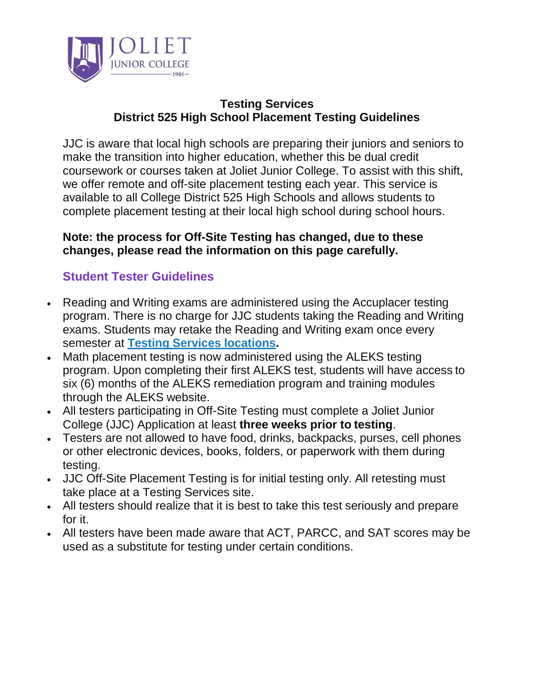

### **Testing Services District 525 High School Placement Testing Guidelines**

JJC is aware that local high schools are preparing their juniors and seniors to make the transition into higher education, whether this be dual credit coursework or courses taken at Joliet Junior College. To assist with this shift, we offer remote and off-site placement testing each year. This service is available to all College District 525 High Schools and allows students to complete placement testing at their local high school during school hours.

#### **Note: the process for Off-Site Testing has changed, due to these changes, please read the information on this page carefully.**

## **Student Tester Guidelines**

- Reading and Writing exams are administered using the Accuplacer testing program. There is no charge for JJC students taking the Reading and Writing exams. Students may retake the Reading and Writing exam once every semester at **[Testing Services](https://jjc.edu/student-resources/testing-services) locations.**
- Math placement testing is now administered using the ALEKS testing program. Upon completing their first ALEKS test, students will have access to six (6) months of the ALEKS remediation program and training modules through the ALEKS website.
- All testers participating in Off-Site Testing must complete a Joliet Junior College (JJC) Application at least **three weeks prior to testing**.
- Testers are not allowed to have food, drinks, backpacks, purses, cell phones or other electronic devices, books, folders, or paperwork with them during testing.
- JJC Off-Site Placement Testing is for initial testing only. All retesting must take place at a Testing Services site.
- All testers should realize that it is best to take this test seriously and prepare for it.
- All testers have been made aware that ACT, PARCC, and SAT scores may be used as a substitute for testing under certain conditions.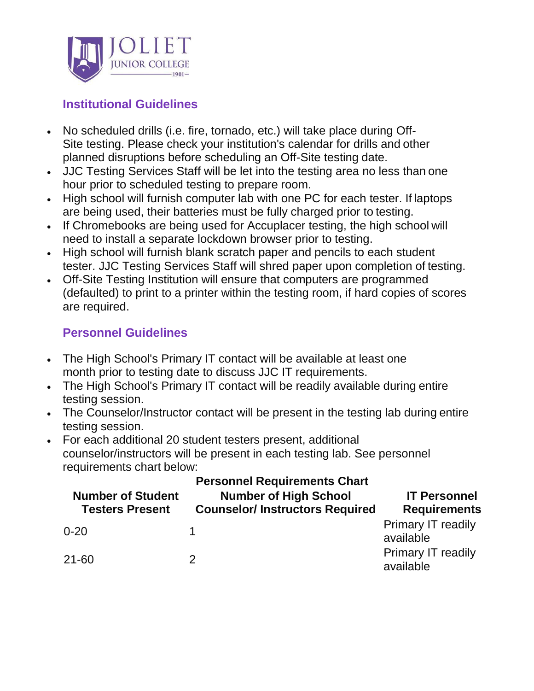

# **Institutional Guidelines**

- No scheduled drills (i.e. fire, tornado, etc.) will take place during Off-Site testing. Please check your institution's calendar for drills and other planned disruptions before scheduling an Off-Site testing date.
- JJC Testing Services Staff will be let into the testing area no less than one hour prior to scheduled testing to prepare room.
- High school will furnish computer lab with one PC for each tester. If laptops are being used, their batteries must be fully charged prior to testing.
- If Chromebooks are being used for Accuplacer testing, the high school will need to install a separate lockdown browser prior to testing.
- High school will furnish blank scratch paper and pencils to each student tester. JJC Testing Services Staff will shred paper upon completion of testing.
- Off-Site Testing Institution will ensure that computers are programmed (defaulted) to print to a printer within the testing room, if hard copies of scores are required.

## **Personnel Guidelines**

- The High School's Primary IT contact will be available at least one month prior to testing date to discuss JJC IT requirements.
- The High School's Primary IT contact will be readily available during entire testing session.
- The Counselor/Instructor contact will be present in the testing lab during entire testing session.
- For each additional 20 student testers present, additional counselor/instructors will be present in each testing lab. See personnel requirements chart below:

| <b>Number of Student</b><br><b>Testers Present</b> | <b>Personnel Requirements Chart</b><br><b>Number of High School</b><br><b>Counselor/Instructors Required</b> | <b>IT Personnel</b><br><b>Requirements</b> |
|----------------------------------------------------|--------------------------------------------------------------------------------------------------------------|--------------------------------------------|
| $0 - 20$                                           |                                                                                                              | <b>Primary IT readily</b><br>available     |
| $21 - 60$                                          | 2                                                                                                            | <b>Primary IT readily</b><br>available     |